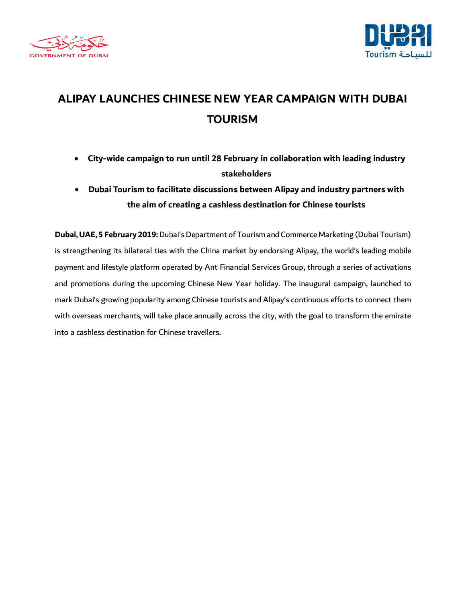



## **ALIPAY LAUNCHES CHINESE NEW YEAR CAMPAIGN WITH DUBAI TOURISM**

- **City-wide campaign to run until 28 February in collaboration with leading industry stakeholders**
- **Dubai Tourism to facilitate discussions between Alipay and industry partners with the aim of creating a cashless destination for Chinese tourists**

**Dubai, UAE, 5 February 2019:**Dubai's Department of Tourism and Commerce Marketing (Dubai Tourism) is strengthening its bilateral ties with the China market by endorsing Alipay, the world's leading mobile payment and lifestyle platform operated by Ant Financial Services Group, through a series of activations and promotions during the upcoming Chinese New Year holiday. The inaugural campaign, launched to mark Dubai's growing popularity among Chinese tourists and Alipay's continuous efforts to connect them with overseas merchants, will take place annually across the city, with the goal to transform the emirate into a cashless destination for Chinese travellers.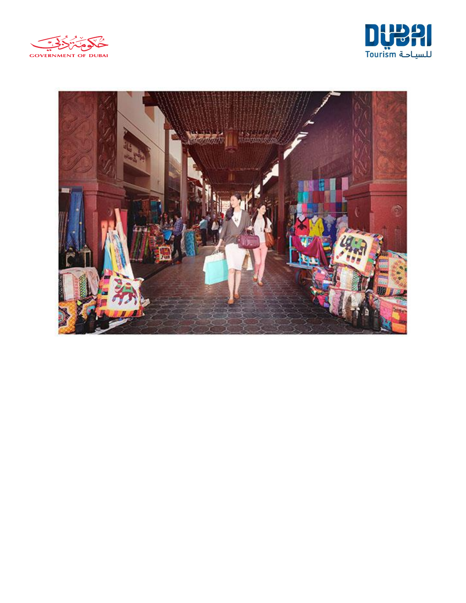



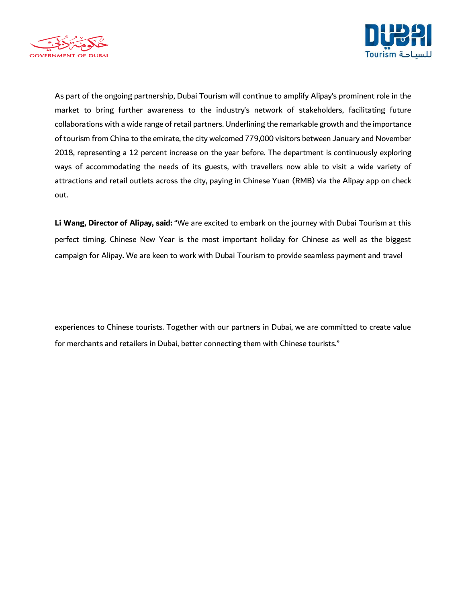



As part of the ongoing partnership, Dubai Tourism will continue to amplify Alipay's prominent role in the market to bring further awareness to the industry's network of stakeholders, facilitating future collaborations with a wide range of retail partners.Underlining the remarkable growth and the importance of tourism from China to the emirate, the city welcomed 779,000 visitors between January and November 2018, representing a 12 percent increase on the year before. The department is continuously exploring ways of accommodating the needs of its guests, with travellers now able to visit a wide variety of attractions and retail outlets across the city, paying in Chinese Yuan (RMB) via the Alipay app on check out.

**Li Wang, Director of Alipay, said:** "We are excited to embark on the journey with Dubai Tourism at this perfect timing. Chinese New Year is the most important holiday for Chinese as well as the biggest campaign for Alipay. We are keen to work with Dubai Tourism to provide seamless payment and travel

experiences to Chinese tourists. Together with our partners in Dubai, we are committed to create value for merchants and retailers in Dubai, better connecting them with Chinese tourists."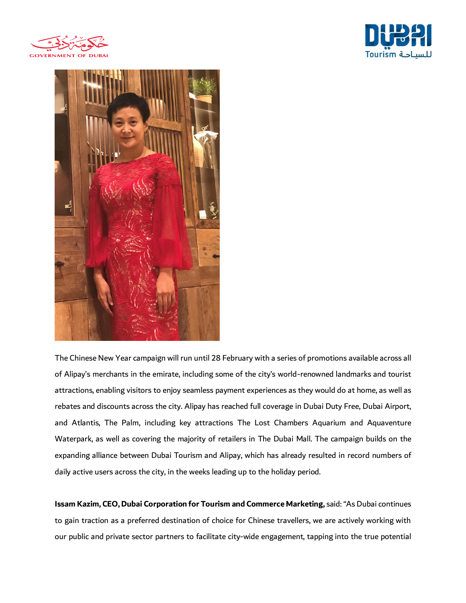





The Chinese New Year campaign will run until 28 February with a series of promotions available across all of Alipay's merchants in the emirate, including some of the city's world-renowned landmarks and tourist attractions, enabling visitors to enjoy seamless payment experiences as they would do at home, as well as rebates and discounts across the city. Alipay has reached full coverage in Dubai Duty Free, Dubai Airport, and Atlantis, The Palm, including key attractions The Lost Chambers Aquarium and Aquaventure Waterpark, as well as covering the majority of retailers in The Dubai Mall. The campaign builds on the expanding alliance between Dubai Tourism and Alipay, which has already resulted in record numbers of daily active users across the city, in the weeks leading up to the holiday period.

**Issam Kazim, CEO, Dubai Corporation for Tourism and Commerce Marketing, said: "As Dubai continues** to gain traction as a preferred destination of choice for Chinese travellers, we are actively working with our public and private sector partners to facilitate city-wide engagement, tapping into the true potential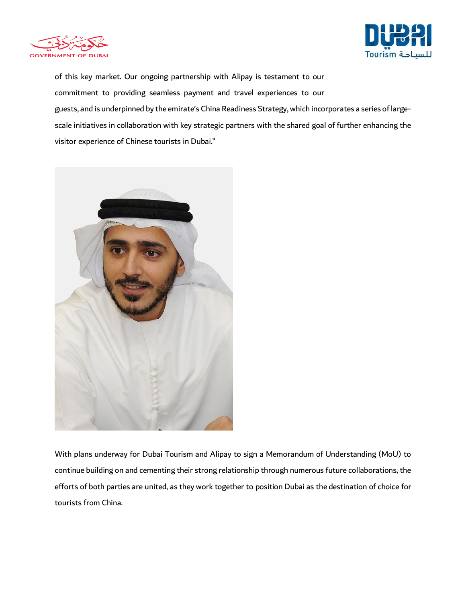



of this key market. Our ongoing partnership with Alipay is testament to our commitment to providing seamless payment and travel experiences to our guests, and is underpinned by the emirate's China Readiness Strategy, which incorporates a series of largescale initiatives in collaboration with key strategic partners with the shared goal of further enhancing the visitor experience of Chinese tourists in Dubai."



With plans underway for Dubai Tourism and Alipay to sign a Memorandum of Understanding (MoU) to continue building on and cementing their strong relationship through numerous future collaborations, the efforts of both parties are united, as they work together to position Dubai as the destination of choice for tourists from China.